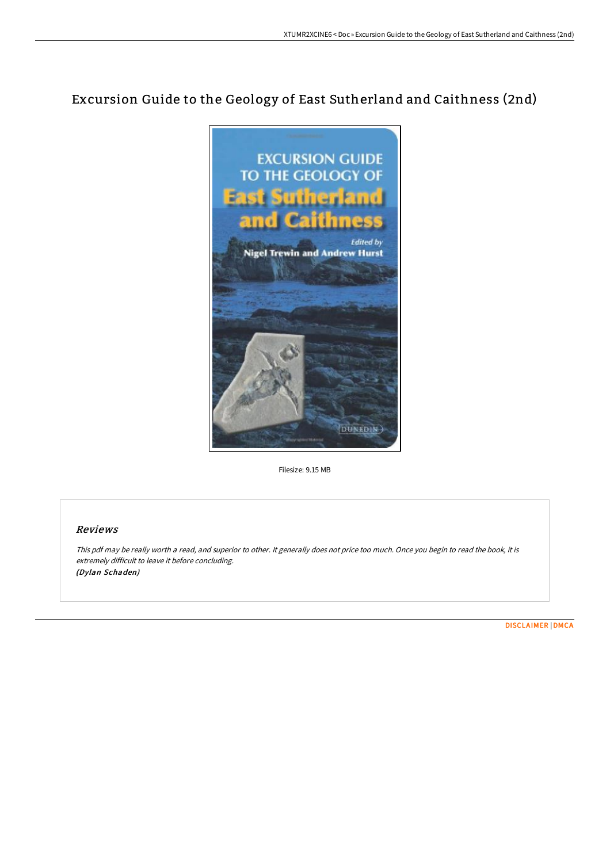# Excursion Guide to the Geology of East Sutherland and Caithness (2nd)



Filesize: 9.15 MB

## Reviews

This pdf may be really worth <sup>a</sup> read, and superior to other. It generally does not price too much. Once you begin to read the book, it is extremely difficult to leave it before concluding. (Dylan Schaden)

[DISCLAIMER](http://albedo.media/disclaimer.html) | [DMCA](http://albedo.media/dmca.html)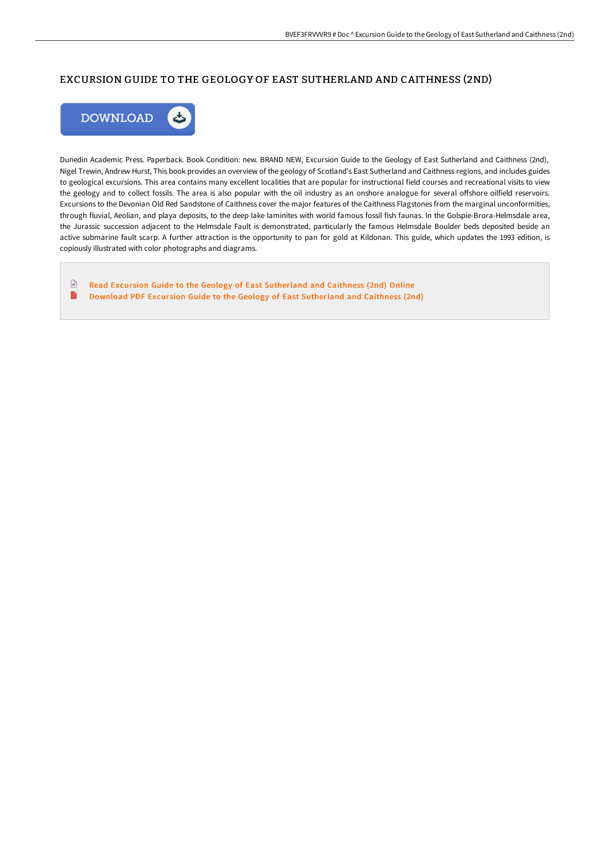### EXCURSION GUIDE TO THE GEOLOGY OF EAST SUTHERLAND AND CAITHNESS (2ND)



Dunedin Academic Press. Paperback. Book Condition: new. BRAND NEW, Excursion Guide to the Geology of East Sutherland and Caithness (2nd), Nigel Trewin, Andrew Hurst, This book provides an overview of the geology of Scotland's East Sutherland and Caithness regions, and includes guides to geological excursions. This area contains many excellent localities that are popular for instructional field courses and recreational visits to view the geology and to collect fossils. The area is also popular with the oil industry as an onshore analogue for several offshore oilfield reservoirs. Excursions to the Devonian Old Red Sandstone of Caithness cover the major features of the Caithness Flagstones from the marginal unconformities, through fluvial, Aeolian, and playa deposits, to the deep lake laminites with world famous fossil fish faunas. In the Golspie-Brora-Helmsdale area, the Jurassic succession adjacent to the Helmsdale Fault is demonstrated, particularly the famous Helmsdale Boulder beds deposited beside an active submarine fault scarp. A further attraction is the opportunity to pan for gold at Kildonan. This guide, which updates the 1993 edition, is copiously illustrated with color photographs and diagrams.

 $\textcolor{red}{\textcolor{blue}{\boldsymbol{\mathsf{D}}}}$ Read Excursion Guide to the Geology of East [Sutherland](http://albedo.media/excursion-guide-to-the-geology-of-east-sutherlan.html) and Caithness (2nd) Online B Download PDF Excursion Guide to the Geology of East [Sutherland](http://albedo.media/excursion-guide-to-the-geology-of-east-sutherlan.html) and Caithness (2nd)